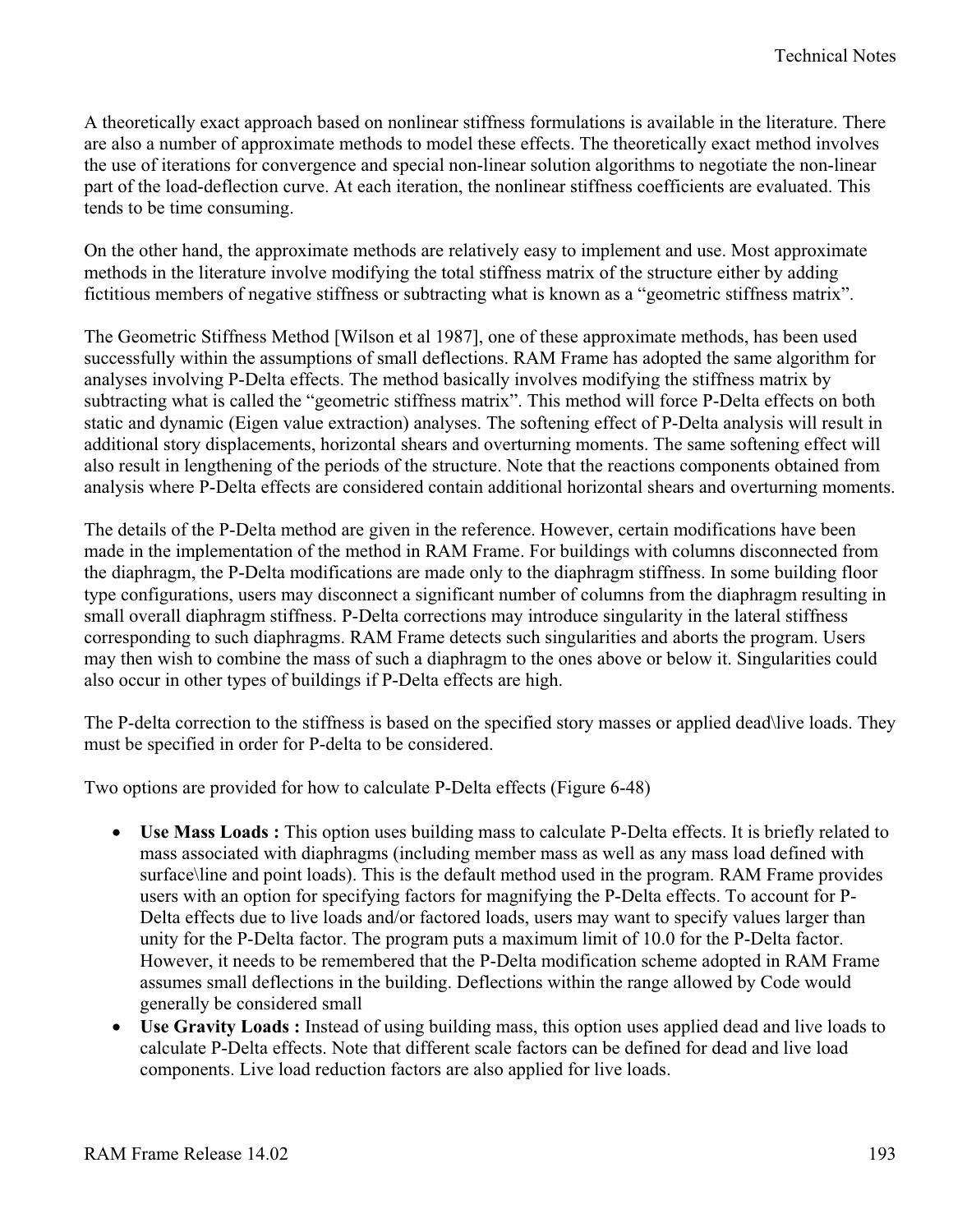A theoretically exact approach based on nonlinear stiffness formulations is available in the literature. There are also a number of approximate methods to model these effects. The theoretically exact method involves the use of iterations for convergence and special non-linear solution algorithms to negotiate the non-linear part of the load-deflection curve. At each iteration, the nonlinear stiffness coefficients are evaluated. This tends to be time consuming.

On the other hand, the approximate methods are relatively easy to implement and use. Most approximate methods in the literature involve modifying the total stiffness matrix of the structure either by adding fictitious members of negative stiffness or subtracting what is known as a "geometric stiffness matrix".

The Geometric Stiffness Method [Wilson et al 1987], one of these approximate methods, has been used successfully within the assumptions of small deflections. RAM Frame has adopted the same algorithm for analyses involving P-Delta effects. The method basically involves modifying the stiffness matrix by subtracting what is called the "geometric stiffness matrix". This method will force P-Delta effects on both static and dynamic (Eigen value extraction) analyses. The softening effect of P-Delta analysis will result in additional story displacements, horizontal shears and overturning moments. The same softening effect will also result in lengthening of the periods of the structure. Note that the reactions components obtained from analysis where P-Delta effects are considered contain additional horizontal shears and overturning moments.

The details of the P-Delta method are given in the reference. However, certain modifications have been made in the implementation of the method in RAM Frame. For buildings with columns disconnected from the diaphragm, the P-Delta modifications are made only to the diaphragm stiffness. In some building floor type configurations, users may disconnect a significant number of columns from the diaphragm resulting in small overall diaphragm stiffness. P-Delta corrections may introduce singularity in the lateral stiffness corresponding to such diaphragms. RAM Frame detects such singularities and aborts the program. Users may then wish to combine the mass of such a diaphragm to the ones above or below it. Singularities could also occur in other types of buildings if P-Delta effects are high.

The P-delta correction to the stiffness is based on the specified story masses or applied dead\live loads. They must be specified in order for P-delta to be considered.

Two options are provided for how to calculate P-Delta effects (Figure 6-48)

- Use Mass Loads : This option uses building mass to calculate P-Delta effects. It is briefly related to mass associated with diaphragms (including member mass as well as any mass load defined with surface\line and point loads). This is the default method used in the program. RAM Frame provides users with an option for specifying factors for magnifying the P-Delta effects. To account for P-Delta effects due to live loads and/or factored loads, users may want to specify values larger than unity for the P-Delta factor. The program puts a maximum limit of 10.0 for the P-Delta factor. However, it needs to be remembered that the P-Delta modification scheme adopted in RAM Frame assumes small deflections in the building. Deflections within the range allowed by Code would generally be considered small
- Use Gravity Loads : Instead of using building mass, this option uses applied dead and live loads to calculate P-Delta effects. Note that different scale factors can be defined for dead and live load components. Live load reduction factors are also applied for live loads.